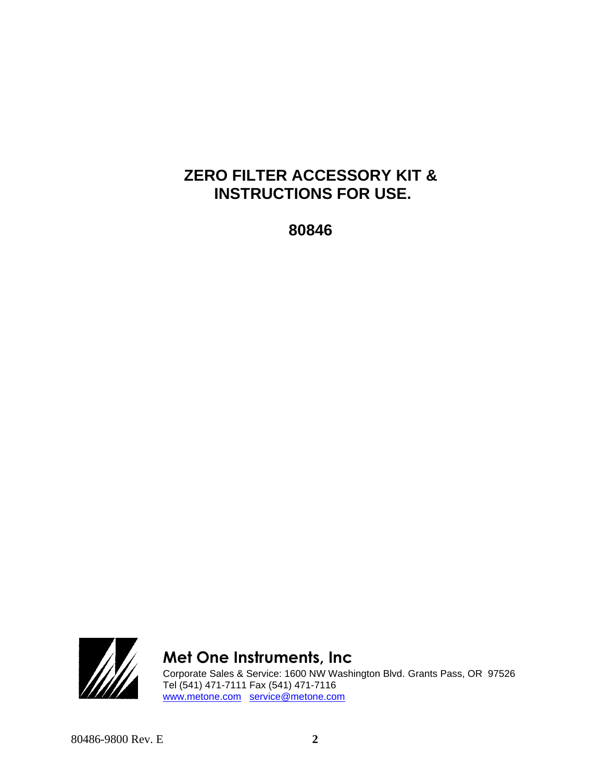### **ZERO FILTER ACCESSORY KIT & INSTRUCTIONS FOR USE.**

**80846**



## **Met One Instruments, Inc**

Corporate Sales & Service: 1600 NW Washington Blvd. Grants Pass, OR 97526 Tel (541) 471-7111 Fax (541) 471-7116 [www.metone.com](http://www.metone.com/) [service@metone.com](mailto:service@metone.com)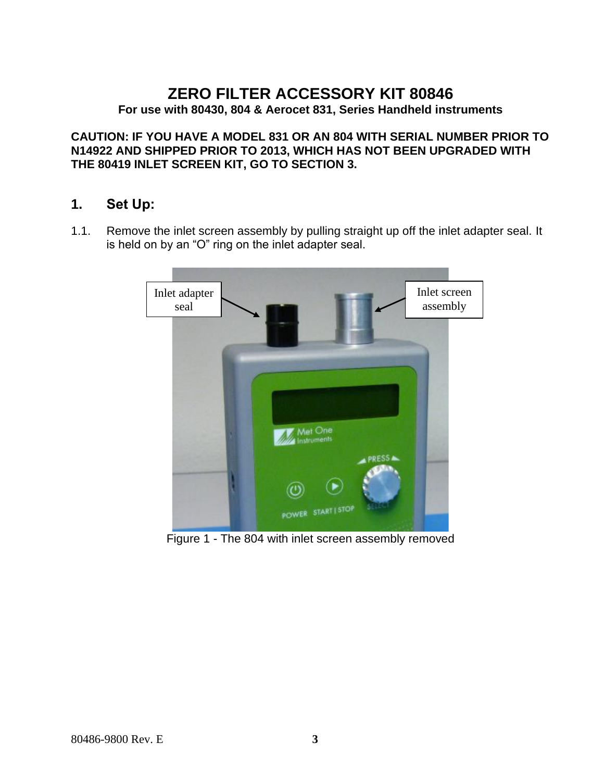# **ZERO FILTER ACCESSORY KIT 80846**

**For use with 80430, 804 & Aerocet 831, Series Handheld instruments** 

**CAUTION: IF YOU HAVE A MODEL 831 OR AN 804 WITH SERIAL NUMBER PRIOR TO N14922 AND SHIPPED PRIOR TO 2013, WHICH HAS NOT BEEN UPGRADED WITH THE 80419 INLET SCREEN KIT, GO TO SECTION [3.](#page-3-0)**

#### **1. Set Up:**

1.1. Remove the inlet screen assembly by pulling straight up off the inlet adapter seal. It is held on by an "O" ring on the inlet adapter seal.



Figure 1 - The 804 with inlet screen assembly removed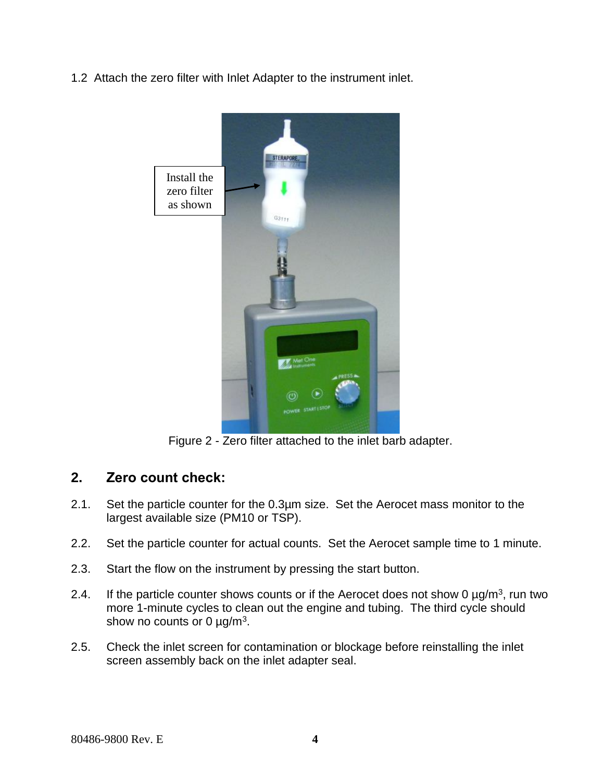1.2 Attach the zero filter with Inlet Adapter to the instrument inlet.



Figure 2 - Zero filter attached to the inlet barb adapter.

#### **2. Zero count check:**

- 2.1. Set the particle counter for the 0.3µm size. Set the Aerocet mass monitor to the largest available size (PM10 or TSP).
- 2.2. Set the particle counter for actual counts. Set the Aerocet sample time to 1 minute.
- 2.3. Start the flow on the instrument by pressing the start button.
- 2.4. If the particle counter shows counts or if the Aerocet does not show 0  $\mu$ g/m<sup>3</sup>, run two more 1-minute cycles to clean out the engine and tubing. The third cycle should show no counts or 0  $\mu$ g/m<sup>3</sup>.
- 2.5. Check the inlet screen for contamination or blockage before reinstalling the inlet screen assembly back on the inlet adapter seal.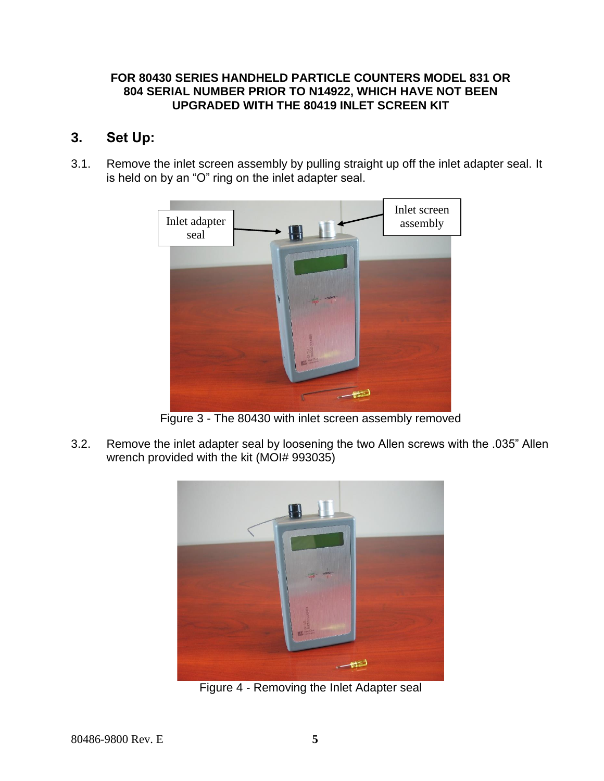#### **FOR 80430 SERIES HANDHELD PARTICLE COUNTERS MODEL 831 OR 804 SERIAL NUMBER PRIOR TO N14922, WHICH HAVE NOT BEEN UPGRADED WITH THE 80419 INLET SCREEN KIT**

#### <span id="page-3-0"></span>**3. Set Up:**

3.1. Remove the inlet screen assembly by pulling straight up off the inlet adapter seal. It is held on by an "O" ring on the inlet adapter seal.



Figure 3 - The 80430 with inlet screen assembly removed

3.2. Remove the inlet adapter seal by loosening the two Allen screws with the .035" Allen wrench provided with the kit (MOI# 993035)



Figure 4 - Removing the Inlet Adapter seal